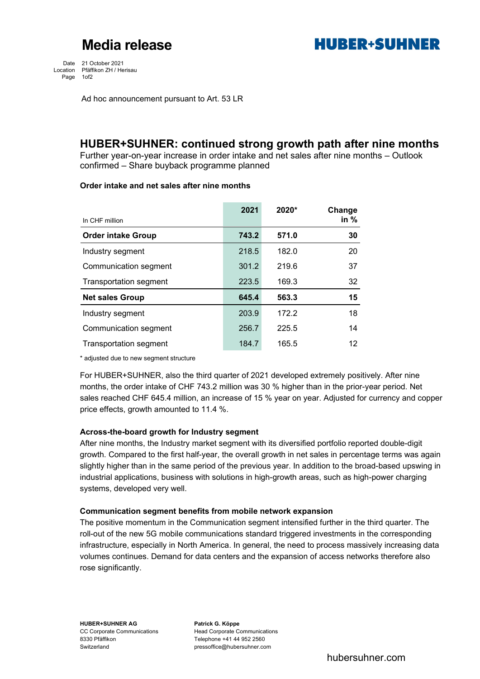## **Media release**



Date 21 October 2021 Location Pfäffikon ZH / Herisau Page 1of2

Ad hoc announcement pursuant to Art. 53 LR

### **HUBER+SUHNER: continued strong growth path after nine months**

Further year-on-year increase in order intake and net sales after nine months – Outlook confirmed – Share buyback programme planned

### **Order intake and net sales after nine months**

|                               | 2021  | 2020* | Change |
|-------------------------------|-------|-------|--------|
| In CHF million                |       |       | in $%$ |
| <b>Order intake Group</b>     | 743.2 | 571.0 | 30     |
| Industry segment              | 218.5 | 182.0 | 20     |
| Communication segment         | 301.2 | 219.6 | 37     |
| <b>Transportation segment</b> | 223.5 | 169.3 | 32     |
| <b>Net sales Group</b>        | 645.4 | 563.3 | 15     |
| Industry segment              | 203.9 | 172.2 | 18     |
| Communication segment         | 256.7 | 225.5 | 14     |
| <b>Transportation segment</b> | 184.7 | 165.5 | 12     |

\* adjusted due to new segment structure

For HUBER+SUHNER, also the third quarter of 2021 developed extremely positively. After nine months, the order intake of CHF 743.2 million was 30 % higher than in the prior-year period. Net sales reached CHF 645.4 million, an increase of 15 % year on year. Adjusted for currency and copper price effects, growth amounted to 11.4 %.

### **Across-the-board growth for Industry segment**

After nine months, the Industry market segment with its diversified portfolio reported double-digit growth. Compared to the first half-year, the overall growth in net sales in percentage terms was again slightly higher than in the same period of the previous year. In addition to the broad-based upswing in industrial applications, business with solutions in high-growth areas, such as high-power charging systems, developed very well.

### **Communication segment benefits from mobile network expansion**

The positive momentum in the Communication segment intensified further in the third quarter. The roll-out of the new 5G mobile communications standard triggered investments in the corresponding infrastructure, especially in North America. In general, the need to process massively increasing data volumes continues. Demand for data centers and the expansion of access networks therefore also rose significantly.

CC Corporate Communications<br>
8330 Pfäffikon<br>
Telephone +41 44 952 2560 Telephone +41 44 952 2560